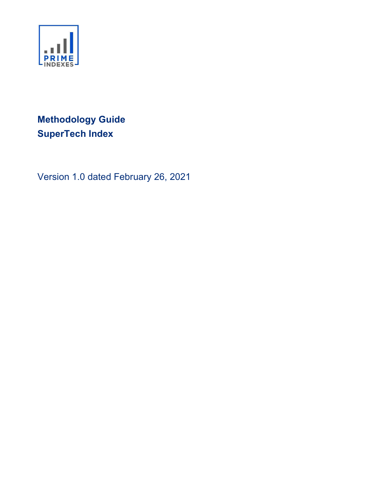

# Methodology Guide SuperTech Index

Version 1.0 dated February 26, 2021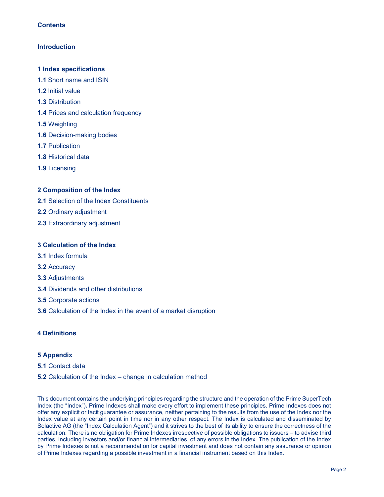## **Contents**

## **Introduction**

## 1 Index specifications

- 1.1 Short name and ISIN
- 1.2 Initial value
- 1.3 Distribution
- 1.4 Prices and calculation frequency
- 1.5 Weighting
- 1.6 Decision-making bodies
- 1.7 Publication
- 1.8 Historical data
- 1.9 Licensing

## 2 Composition of the Index

- 2.1 Selection of the Index Constituents
- 2.2 Ordinary adjustment
- 2.3 Extraordinary adjustment

## 3 Calculation of the Index

- 3.1 Index formula
- 3.2 Accuracy
- 3.3 Adjustments
- 3.4 Dividends and other distributions
- 3.5 Corporate actions
- 3.6 Calculation of the Index in the event of a market disruption

## 4 Definitions

## 5 Appendix

#### 5.1 Contact data

#### 5.2 Calculation of the Index – change in calculation method

This document contains the underlying principles regarding the structure and the operation of the Prime SuperTech Index (the "Index"). Prime Indexes shall make every effort to implement these principles. Prime Indexes does not offer any explicit or tacit guarantee or assurance, neither pertaining to the results from the use of the Index nor the Index value at any certain point in time nor in any other respect. The Index is calculated and disseminated by Solactive AG (the "Index Calculation Agent") and it strives to the best of its ability to ensure the correctness of the calculation. There is no obligation for Prime Indexes irrespective of possible obligations to issuers – to advise third parties, including investors and/or financial intermediaries, of any errors in the Index. The publication of the Index by Prime Indexes is not a recommendation for capital investment and does not contain any assurance or opinion of Prime Indexes regarding a possible investment in a financial instrument based on this Index.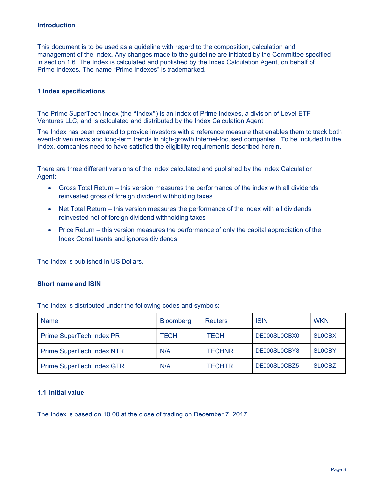#### Introduction

This document is to be used as a guideline with regard to the composition, calculation and management of the Index. Any changes made to the guideline are initiated by the Committee specified in section 1.6. The Index is calculated and published by the Index Calculation Agent, on behalf of Prime Indexes. The name "Prime Indexes" is trademarked.

#### 1 Index specifications

The Prime SuperTech Index (the "Index") is an Index of Prime Indexes, a division of Level ETF Ventures LLC, and is calculated and distributed by the Index Calculation Agent.

The Index has been created to provide investors with a reference measure that enables them to track both event-driven news and long-term trends in high-growth internet-focused companies. To be included in the Index, companies need to have satisfied the eligibility requirements described herein.

There are three different versions of the Index calculated and published by the Index Calculation Agent:

- Gross Total Return this version measures the performance of the index with all dividends reinvested gross of foreign dividend withholding taxes
- Net Total Return this version measures the performance of the index with all dividends reinvested net of foreign dividend withholding taxes
- Price Return this version measures the performance of only the capital appreciation of the Index Constituents and ignores dividends

The Index is published in US Dollars.

## Short name and ISIN

The Index is distributed under the following codes and symbols:

| <b>Name</b>                      | <b>Bloomberg</b> | <b>Reuters</b> | <b>ISIN</b>  | <b>WKN</b>    |
|----------------------------------|------------------|----------------|--------------|---------------|
| Prime SuperTech Index PR         | <b>TECH</b>      | .TECH          | DE000SL0CBX0 | <b>SLOCBX</b> |
| <b>Prime SuperTech Index NTR</b> | N/A              | <b>TECHNR</b>  | DE000SL0CBY8 | <b>SLOCBY</b> |
| Prime SuperTech Index GTR        | N/A              | TECHTR.        | DE000SL0CBZ5 | <b>SLOCBZ</b> |

#### 1.1 Initial value

The Index is based on 10.00 at the close of trading on December 7, 2017.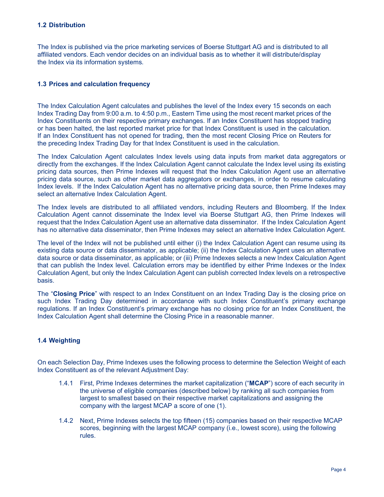#### 1.2 Distribution

The Index is published via the price marketing services of Boerse Stuttgart AG and is distributed to all affiliated vendors. Each vendor decides on an individual basis as to whether it will distribute/display the Index via its information systems.

## 1.3 Prices and calculation frequency

The Index Calculation Agent calculates and publishes the level of the Index every 15 seconds on each Index Trading Day from 9:00 a.m. to 4:50 p.m., Eastern Time using the most recent market prices of the Index Constituents on their respective primary exchanges. If an Index Constituent has stopped trading or has been halted, the last reported market price for that Index Constituent is used in the calculation. If an Index Constituent has not opened for trading, then the most recent Closing Price on Reuters for the preceding Index Trading Day for that Index Constituent is used in the calculation.

The Index Calculation Agent calculates Index levels using data inputs from market data aggregators or directly from the exchanges. If the Index Calculation Agent cannot calculate the Index level using its existing pricing data sources, then Prime Indexes will request that the Index Calculation Agent use an alternative pricing data source, such as other market data aggregators or exchanges, in order to resume calculating Index levels. If the Index Calculation Agent has no alternative pricing data source, then Prime Indexes may select an alternative Index Calculation Agent.

The Index levels are distributed to all affiliated vendors, including Reuters and Bloomberg. If the Index Calculation Agent cannot disseminate the Index level via Boerse Stuttgart AG, then Prime Indexes will request that the Index Calculation Agent use an alternative data disseminator. If the Index Calculation Agent has no alternative data disseminator, then Prime Indexes may select an alternative Index Calculation Agent.

The level of the Index will not be published until either (i) the Index Calculation Agent can resume using its existing data source or data disseminator, as applicable; (ii) the Index Calculation Agent uses an alternative data source or data disseminator, as applicable; or (iii) Prime Indexes selects a new Index Calculation Agent that can publish the Index level. Calculation errors may be identified by either Prime Indexes or the Index Calculation Agent, but only the Index Calculation Agent can publish corrected Index levels on a retrospective basis.

The "Closing Price" with respect to an Index Constituent on an Index Trading Day is the closing price on such Index Trading Day determined in accordance with such Index Constituent's primary exchange regulations. If an Index Constituent's primary exchange has no closing price for an Index Constituent, the Index Calculation Agent shall determine the Closing Price in a reasonable manner.

## 1.4 Weighting

On each Selection Day, Prime Indexes uses the following process to determine the Selection Weight of each Index Constituent as of the relevant Adjustment Day:

- 1.4.1 First, Prime Indexes determines the market capitalization ("MCAP") score of each security in the universe of eligible companies (described below) by ranking all such companies from largest to smallest based on their respective market capitalizations and assigning the company with the largest MCAP a score of one (1).
- 1.4.2 Next, Prime Indexes selects the top fifteen (15) companies based on their respective MCAP scores, beginning with the largest MCAP company (i.e., lowest score), using the following rules.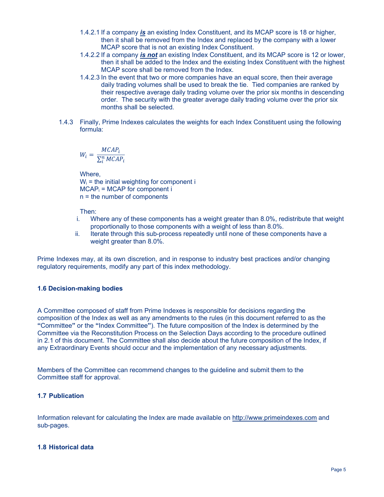- 1.4.2.1 If a company is an existing Index Constituent, and its MCAP score is 18 or higher, then it shall be removed from the Index and replaced by the company with a lower MCAP score that is not an existing Index Constituent.
- 1.4.2.2 If a company is not an existing Index Constituent, and its MCAP score is 12 or lower, then it shall be added to the Index and the existing Index Constituent with the highest MCAP score shall be removed from the Index.
- 1.4.2.3 In the event that two or more companies have an equal score, then their average daily trading volumes shall be used to break the tie. Tied companies are ranked by their respective average daily trading volume over the prior six months in descending order. The security with the greater average daily trading volume over the prior six months shall be selected.
- 1.4.3 Finally, Prime Indexes calculates the weights for each Index Constituent using the following formula:

$$
W_i = \frac{MCAP_i}{\sum_{i}^{n} MCAP_i}
$$

Where,  $W_i$  = the initial weighting for component i  $MCAP<sub>i</sub> = MCAP$  for component i n = the number of components

Then:

- i. Where any of these components has a weight greater than 8.0%, redistribute that weight proportionally to those components with a weight of less than 8.0%.
- ii. Iterate through this sub-process repeatedly until none of these components have a weight greater than 8.0%.

Prime Indexes may, at its own discretion, and in response to industry best practices and/or changing regulatory requirements, modify any part of this index methodology.

## 1.6 Decision-making bodies

A Committee composed of staff from Prime Indexes is responsible for decisions regarding the composition of the Index as well as any amendments to the rules (in this document referred to as the "Committee" or the "Index Committee"). The future composition of the Index is determined by the Committee via the Reconstitution Process on the Selection Days according to the procedure outlined in 2.1 of this document. The Committee shall also decide about the future composition of the Index, if any Extraordinary Events should occur and the implementation of any necessary adjustments.

Members of the Committee can recommend changes to the guideline and submit them to the Committee staff for approval.

## 1.7 Publication

Information relevant for calculating the Index are made available on http://www.primeindexes.com and sub-pages.

## 1.8 Historical data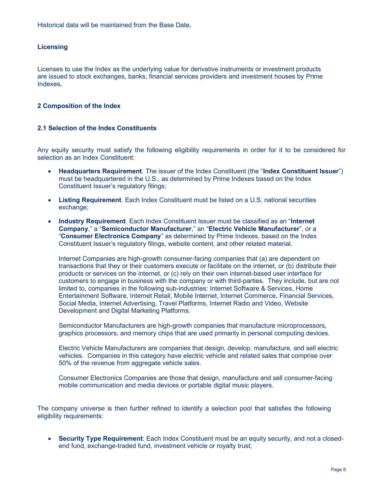Historical data will be maintained from the Base Date.

## **Licensing**

Licenses to use the Index as the underlying value for derivative instruments or investment products are issued to stock exchanges, banks, financial services providers and investment houses by Prime Indexes.

#### 2 Composition of the Index

#### 2.1 Selection of the Index Constituents

Any equity security must satisfy the following eligibility requirements in order for it to be considered for selection as an Index Constituent:

- Headquarters Requirement. The issuer of the Index Constituent (the "Index Constituent Issuer") must be headquartered in the U.S., as determined by Prime Indexes based on the Index Constituent Issuer's regulatory filings;
- Listing Requirement. Each Index Constituent must be listed on a U.S. national securities exchange;
- Industry Requirement. Each Index Constituent Issuer must be classified as an "Internet" Company," a "Semiconductor Manufacturer," an "Electric Vehicle Manufacturer", or a "Consumer Electronics Company" as determined by Prime Indexes, based on the Index Constituent Issuer's regulatory filings, website content, and other related material.

Internet Companies are high-growth consumer-facing companies that (a) are dependent on transactions that they or their customers execute or facilitate on the internet, or (b) distribute their products or services on the internet, or (c) rely on their own internet-based user interface for customers to engage in business with the company or with third-parties. They include, but are not limited to, companies in the following sub-industries: Internet Software & Services, Home Entertainment Software, Internet Retail, Mobile Internet, Internet Commerce, Financial Services, Social Media, Internet Advertising, Travel Platforms, Internet Radio and Video, Website Development and Digital Marketing Platforms.

Semiconductor Manufacturers are high-growth companies that manufacture microprocessors, graphics processors, and memory chips that are used primarily in personal computing devices.

Electric Vehicle Manufacturers are companies that design, develop, manufacture, and sell electric vehicles. Companies in this category have electric vehicle and related sales that comprise over 50% of the revenue from aggregate vehicle sales.

Consumer Electronics Companies are those that design, manufacture and sell consumer-facing mobile communication and media devices or portable digital music players.

The company universe is then further refined to identify a selection pool that satisfies the following eligibility requirements:

 Security Type Requirement: Each Index Constituent must be an equity security, and not a closedend fund, exchange-traded fund, investment vehicle or royalty trust;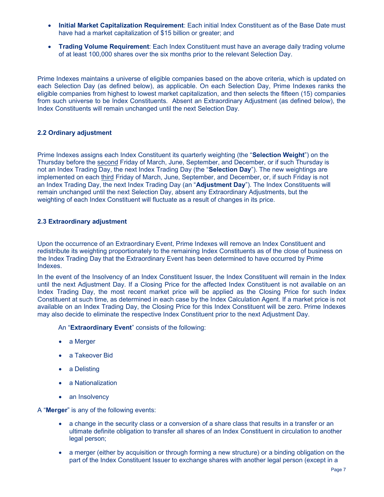- Initial Market Capitalization Requirement: Each initial Index Constituent as of the Base Date must have had a market capitalization of \$15 billion or greater; and
- Trading Volume Requirement: Each Index Constituent must have an average daily trading volume of at least 100,000 shares over the six months prior to the relevant Selection Day.

Prime Indexes maintains a universe of eligible companies based on the above criteria, which is updated on each Selection Day (as defined below), as applicable. On each Selection Day, Prime Indexes ranks the eligible companies from highest to lowest market capitalization, and then selects the fifteen (15) companies from such universe to be Index Constituents. Absent an Extraordinary Adjustment (as defined below), the Index Constituents will remain unchanged until the next Selection Day.

## 2.2 Ordinary adjustment

Prime Indexes assigns each Index Constituent its quarterly weighting (the "Selection Weight") on the Thursday before the second Friday of March, June, September, and December, or if such Thursday is not an Index Trading Day, the next Index Trading Day (the "Selection Day"). The new weightings are implemented on each third Friday of March, June, September, and December, or, if such Friday is not an Index Trading Day, the next Index Trading Day (an "Adjustment Day"). The Index Constituents will remain unchanged until the next Selection Day, absent any Extraordinary Adjustments, but the weighting of each Index Constituent will fluctuate as a result of changes in its price.

## 2.3 Extraordinary adjustment

Upon the occurrence of an Extraordinary Event, Prime Indexes will remove an Index Constituent and redistribute its weighting proportionately to the remaining Index Constituents as of the close of business on the Index Trading Day that the Extraordinary Event has been determined to have occurred by Prime Indexes.

In the event of the Insolvency of an Index Constituent Issuer, the Index Constituent will remain in the Index until the next Adjustment Day. If a Closing Price for the affected Index Constituent is not available on an Index Trading Day, the most recent market price will be applied as the Closing Price for such Index Constituent at such time, as determined in each case by the Index Calculation Agent. If a market price is not available on an Index Trading Day, the Closing Price for this Index Constituent will be zero. Prime Indexes may also decide to eliminate the respective Index Constituent prior to the next Adjustment Day.

An "Extraordinary Event" consists of the following:

- a Merger
- a Takeover Bid
- a Delisting
- a Nationalization
- an Insolvency

A "Merger" is any of the following events:

- a change in the security class or a conversion of a share class that results in a transfer or an ultimate definite obligation to transfer all shares of an Index Constituent in circulation to another legal person;
- a merger (either by acquisition or through forming a new structure) or a binding obligation on the part of the Index Constituent Issuer to exchange shares with another legal person (except in a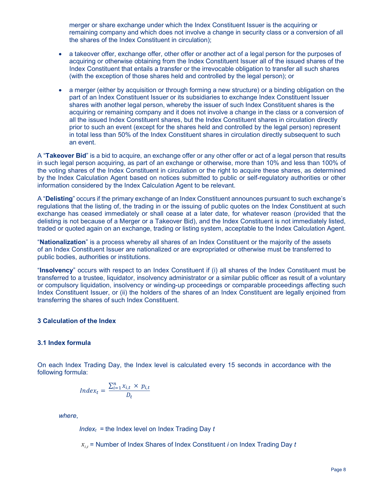merger or share exchange under which the Index Constituent Issuer is the acquiring or remaining company and which does not involve a change in security class or a conversion of all the shares of the Index Constituent in circulation);

- a takeover offer, exchange offer, other offer or another act of a legal person for the purposes of acquiring or otherwise obtaining from the Index Constituent Issuer all of the issued shares of the Index Constituent that entails a transfer or the irrevocable obligation to transfer all such shares (with the exception of those shares held and controlled by the legal person); or
- a merger (either by acquisition or through forming a new structure) or a binding obligation on the part of an Index Constituent Issuer or its subsidiaries to exchange Index Constituent Issuer shares with another legal person, whereby the issuer of such Index Constituent shares is the acquiring or remaining company and it does not involve a change in the class or a conversion of all the issued Index Constituent shares, but the Index Constituent shares in circulation directly prior to such an event (except for the shares held and controlled by the legal person) represent in total less than 50% of the Index Constituent shares in circulation directly subsequent to such an event.

A "Takeover Bid" is a bid to acquire, an exchange offer or any other offer or act of a legal person that results in such legal person acquiring, as part of an exchange or otherwise, more than 10% and less than 100% of the voting shares of the Index Constituent in circulation or the right to acquire these shares, as determined by the Index Calculation Agent based on notices submitted to public or self-regulatory authorities or other information considered by the Index Calculation Agent to be relevant.

A "Delisting" occurs if the primary exchange of an Index Constituent announces pursuant to such exchange's regulations that the listing of, the trading in or the issuing of public quotes on the Index Constituent at such exchange has ceased immediately or shall cease at a later date, for whatever reason (provided that the delisting is not because of a Merger or a Takeover Bid), and the Index Constituent is not immediately listed, traded or quoted again on an exchange, trading or listing system, acceptable to the Index Calculation Agent.

"Nationalization" is a process whereby all shares of an Index Constituent or the majority of the assets of an Index Constituent Issuer are nationalized or are expropriated or otherwise must be transferred to public bodies, authorities or institutions.

"Insolvency" occurs with respect to an Index Constituent if (i) all shares of the Index Constituent must be transferred to a trustee, liquidator, insolvency administrator or a similar public officer as result of a voluntary or compulsory liquidation, insolvency or winding-up proceedings or comparable proceedings affecting such Index Constituent Issuer, or (ii) the holders of the shares of an Index Constituent are legally enjoined from transferring the shares of such Index Constituent.

## 3 Calculation of the Index

#### 3.1 Index formula

On each Index Trading Day, the Index level is calculated every 15 seconds in accordance with the following formula:

$$
Index_t = \frac{\sum_{i=1}^{n} x_{i,t} \times p_{i,t}}{D_t}
$$

where,

 $Index_t$  = the Index level on Index Trading Day  $t$ 

 $x_{i,t}$  = Number of Index Shares of Index Constituent *i* on Index Trading Day *t*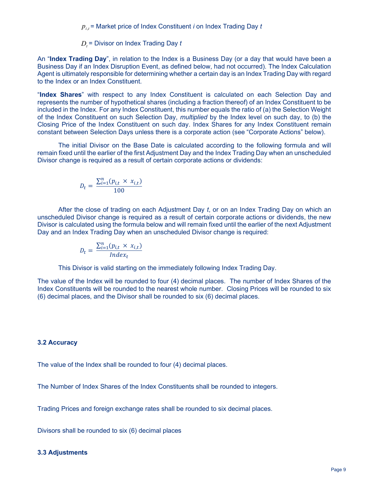$p_{i,t}$ = Market price of Index Constituent  $i$  on Index Trading Day  $t$ 

 $D_t$ = Divisor on Index Trading Day  $t$ 

An "Index Trading Day", in relation to the Index is a Business Day (or a day that would have been a Business Day if an Index Disruption Event, as defined below, had not occurred). The Index Calculation Agent is ultimately responsible for determining whether a certain day is an Index Trading Day with regard to the Index or an Index Constituent.

"Index Shares" with respect to any Index Constituent is calculated on each Selection Day and represents the number of hypothetical shares (including a fraction thereof) of an Index Constituent to be included in the Index. For any Index Constituent, this number equals the ratio of (a) the Selection Weight of the Index Constituent on such Selection Day, multiplied by the Index level on such day, to (b) the Closing Price of the Index Constituent on such day. Index Shares for any Index Constituent remain constant between Selection Days unless there is a corporate action (see "Corporate Actions" below).

 The initial Divisor on the Base Date is calculated according to the following formula and will remain fixed until the earlier of the first Adjustment Day and the Index Trading Day when an unscheduled Divisor change is required as a result of certain corporate actions or dividends:

$$
D_t = \frac{\sum_{i=1}^n (p_{i,t} \times x_{i,t})}{100}
$$

 After the close of trading on each Adjustment Day t, or on an Index Trading Day on which an unscheduled Divisor change is required as a result of certain corporate actions or dividends, the new Divisor is calculated using the formula below and will remain fixed until the earlier of the next Adjustment Day and an Index Trading Day when an unscheduled Divisor change is required:

$$
D_t = \frac{\sum_{i=1}^{n} (p_{i,t} \times x_{i,t})}{Index_t}
$$

This Divisor is valid starting on the immediately following Index Trading Day.

The value of the Index will be rounded to four (4) decimal places. The number of Index Shares of the Index Constituents will be rounded to the nearest whole number. Closing Prices will be rounded to six (6) decimal places, and the Divisor shall be rounded to six (6) decimal places.

## 3.2 Accuracy

The value of the Index shall be rounded to four (4) decimal places.

The Number of Index Shares of the Index Constituents shall be rounded to integers.

Trading Prices and foreign exchange rates shall be rounded to six decimal places.

Divisors shall be rounded to six (6) decimal places

#### 3.3 Adjustments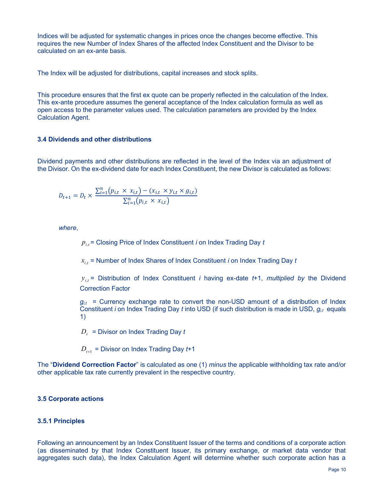Indices will be adjusted for systematic changes in prices once the changes become effective. This requires the new Number of Index Shares of the affected Index Constituent and the Divisor to be calculated on an ex-ante basis.

The Index will be adjusted for distributions, capital increases and stock splits.

This procedure ensures that the first ex quote can be properly reflected in the calculation of the Index. This ex-ante procedure assumes the general acceptance of the Index calculation formula as well as open access to the parameter values used. The calculation parameters are provided by the Index Calculation Agent.

## 3.4 Dividends and other distributions

Dividend payments and other distributions are reflected in the level of the Index via an adjustment of the Divisor. On the ex-dividend date for each Index Constituent, the new Divisor is calculated as follows:

$$
D_{t+1} = D_t \times \frac{\sum_{i=1}^{n} (p_{i,t} \times x_{i,t}) - (x_{i,t} \times y_{i,t} \times g_{i,t})}{\sum_{i=1}^{n} (p_{i,t} \times x_{i,t})}
$$

where,

 $p_{i,t}^{\parallel}$ = Closing Price of Index Constituent  $i$  on Index Trading Day  $t$ 

 $x_{i,t}$  = Number of Index Shares of Index Constituent  $i$  on Index Trading Day  $t$ 

 $y_{i,t}$  = Distribution of Index Constituent *i* having ex-date t+1, multiplied by the Dividend Correction Factor

 $g_{i,t}$  = Currency exchange rate to convert the non-USD amount of a distribution of Index Constituent i on Index Trading Day t into USD (if such distribution is made in USD,  $g_{it}$  equals 1)

 $\overline{D}_t^-$  = Divisor on Index Trading Day  $t$ 

 $D_{t+1}$  = Divisor on Index Trading Day  $t+1$ 

The "Dividend Correction Factor" is calculated as one (1) minus the applicable withholding tax rate and/or other applicable tax rate currently prevalent in the respective country.

#### 3.5 Corporate actions

## 3.5.1 Principles

Following an announcement by an Index Constituent Issuer of the terms and conditions of a corporate action (as disseminated by that Index Constituent Issuer, its primary exchange, or market data vendor that aggregates such data), the Index Calculation Agent will determine whether such corporate action has a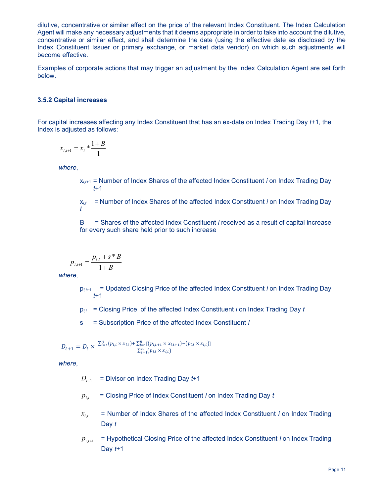dilutive, concentrative or similar effect on the price of the relevant Index Constituent. The Index Calculation Agent will make any necessary adjustments that it deems appropriate in order to take into account the dilutive, concentrative or similar effect, and shall determine the date (using the effective date as disclosed by the Index Constituent Issuer or primary exchange, or market data vendor) on which such adjustments will become effective.

Examples of corporate actions that may trigger an adjustment by the Index Calculation Agent are set forth below.

## 3.5.2 Capital increases

For capital increases affecting any Index Constituent that has an ex-date on Index Trading Day t+1, the Index is adjusted as follows:

$$
x_{i,t+1} = x_i * \frac{1+B}{1}
$$

where,

 $x_{i,t+1}$  = Number of Index Shares of the affected Index Constituent *i* on Index Trading Day  $t+1$ 

 $x_{i,t}$  = Number of Index Shares of the affected Index Constituent i on Index Trading Day t

B = Shares of the affected Index Constituent i received as a result of capital increase for every such share held prior to such increase

$$
p_{i,t+1} = \frac{p_{i,t} + s * B}{1 + B}
$$

where,

- $p_{i,t+1}$  = Updated Closing Price of the affected Index Constituent i on Index Trading Day t+1
- $p_{i,t}$  = Closing Price of the affected Index Constituent i on Index Trading Day t
- s = Subscription Price of the affected Index Constituent *i*

$$
D_{t+1} = D_t \times \frac{\sum_{i=1}^{n} (p_{i,t} \times x_{i,t}) + \sum_{i=1}^{n} [(p_{i,t+1} \times x_{i,t+1}) - (p_{i,t} \times x_{i,t})]}{\sum_{i=1}^{n} (p_{i,t} \times x_{i,t})}
$$

where,

- $=$  Divisor on Index Trading Day  $t+1$  $D_{t+1}$
- $=$  Closing Price of Index Constituent *i* on Index Trading Day  $t$  $p_{i,t}$
- $=$  Number of Index Shares of the affected Index Constituent *i* on Index Trading Day t  $x_{i,t}$
- = Hypothetical Closing Price of the affected Index Constituent i on Index Trading Day  $t+1$  $p_{i,t+1}$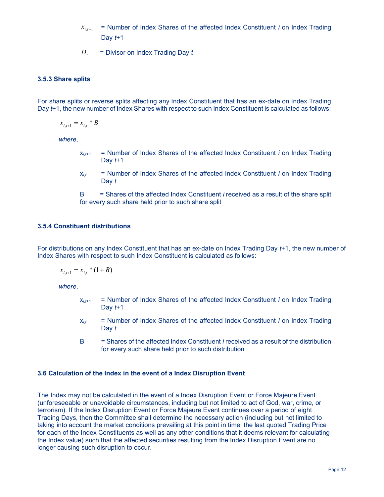- $=$  Number of Index Shares of the affected Index Constituent  $i$  on Index Trading Day  $t+1$  $x_{i,t+1}$
- $=$  Divisor on Index Trading Day  $t$  $D_{t}$

## 3.5.3 Share splits

For share splits or reverse splits affecting any Index Constituent that has an ex-date on Index Trading Day t+1, the new number of Index Shares with respect to such Index Constituent is calculated as follows:

$$
x_{i,t+1} = x_{i,t} \cdot B
$$

where

- $x_{i,t+1}$  = Number of Index Shares of the affected Index Constituent *i* on Index Trading Day  $t+1$
- $x_{i,t}$  = Number of Index Shares of the affected Index Constituent i on Index Trading Day t

 $B =$  Shares of the affected Index Constituent *i* received as a result of the share split for every such share held prior to such share split

## 3.5.4 Constituent distributions

For distributions on any Index Constituent that has an ex-date on Index Trading Day t+1, the new number of Index Shares with respect to such Index Constituent is calculated as follows:

$$
x_{i,t+1} = x_{i,t} * (1 + B)
$$

where,

- $x_{i,t+1}$  = Number of Index Shares of the affected Index Constituent *i* on Index Trading Day  $t+1$
- $x_{i,t}$  = Number of Index Shares of the affected Index Constituent *i* on Index Trading Day t
- $B =$  Shares of the affected Index Constituent *i* received as a result of the distribution for every such share held prior to such distribution

#### 3.6 Calculation of the Index in the event of a Index Disruption Event

The Index may not be calculated in the event of a Index Disruption Event or Force Majeure Event (unforeseeable or unavoidable circumstances, including but not limited to act of God, war, crime, or terrorism). If the Index Disruption Event or Force Majeure Event continues over a period of eight Trading Days, then the Committee shall determine the necessary action (including but not limited to taking into account the market conditions prevailing at this point in time, the last quoted Trading Price for each of the Index Constituents as well as any other conditions that it deems relevant for calculating the Index value) such that the affected securities resulting from the Index Disruption Event are no longer causing such disruption to occur.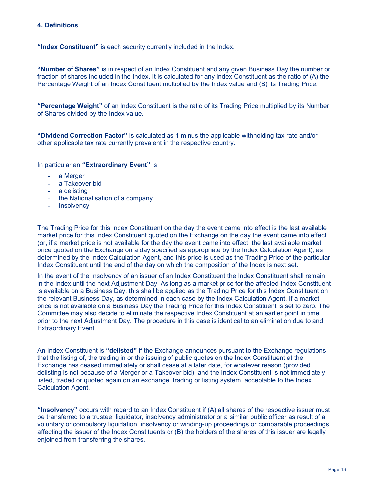## 4. Definitions

"Index Constituent" is each security currently included in the Index.

"Number of Shares" is in respect of an Index Constituent and any given Business Day the number or fraction of shares included in the Index. It is calculated for any Index Constituent as the ratio of (A) the Percentage Weight of an Index Constituent multiplied by the Index value and (B) its Trading Price.

"Percentage Weight" of an Index Constituent is the ratio of its Trading Price multiplied by its Number of Shares divided by the Index value.

"Dividend Correction Factor" is calculated as 1 minus the applicable withholding tax rate and/or other applicable tax rate currently prevalent in the respective country.

In particular an "Extraordinary Event" is

- a Merger
- a Takeover bid
- a delisting
- the Nationalisation of a company
- Insolvency

The Trading Price for this Index Constituent on the day the event came into effect is the last available market price for this Index Constituent quoted on the Exchange on the day the event came into effect (or, if a market price is not available for the day the event came into effect, the last available market price quoted on the Exchange on a day specified as appropriate by the Index Calculation Agent), as determined by the Index Calculation Agent, and this price is used as the Trading Price of the particular Index Constituent until the end of the day on which the composition of the Index is next set.

In the event of the Insolvency of an issuer of an Index Constituent the Index Constituent shall remain in the Index until the next Adjustment Day. As long as a market price for the affected Index Constituent is available on a Business Day, this shall be applied as the Trading Price for this Index Constituent on the relevant Business Day, as determined in each case by the Index Calculation Agent. If a market price is not available on a Business Day the Trading Price for this Index Constituent is set to zero. The Committee may also decide to eliminate the respective Index Constituent at an earlier point in time prior to the next Adjustment Day. The procedure in this case is identical to an elimination due to and Extraordinary Event.

An Index Constituent is "delisted" if the Exchange announces pursuant to the Exchange regulations that the listing of, the trading in or the issuing of public quotes on the Index Constituent at the Exchange has ceased immediately or shall cease at a later date, for whatever reason (provided delisting is not because of a Merger or a Takeover bid), and the Index Constituent is not immediately listed, traded or quoted again on an exchange, trading or listing system, acceptable to the Index Calculation Agent.

"Insolvency" occurs with regard to an Index Constituent if (A) all shares of the respective issuer must be transferred to a trustee, liquidator, insolvency administrator or a similar public officer as result of a voluntary or compulsory liquidation, insolvency or winding-up proceedings or comparable proceedings affecting the issuer of the Index Constituents or (B) the holders of the shares of this issuer are legally enjoined from transferring the shares.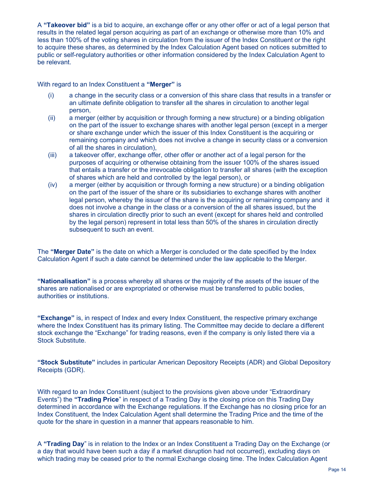A "Takeover bid" is a bid to acquire, an exchange offer or any other offer or act of a legal person that results in the related legal person acquiring as part of an exchange or otherwise more than 10% and less than 100% of the voting shares in circulation from the issuer of the Index Constituent or the right to acquire these shares, as determined by the Index Calculation Agent based on notices submitted to public or self-regulatory authorities or other information considered by the Index Calculation Agent to be relevant.

With regard to an Index Constituent a "Merger" is

- (i) a change in the security class or a conversion of this share class that results in a transfer or an ultimate definite obligation to transfer all the shares in circulation to another legal person,
- (ii) a merger (either by acquisition or through forming a new structure) or a binding obligation on the part of the issuer to exchange shares with another legal person (except in a merger or share exchange under which the issuer of this Index Constituent is the acquiring or remaining company and which does not involve a change in security class or a conversion of all the shares in circulation),
- (iii) a takeover offer, exchange offer, other offer or another act of a legal person for the purposes of acquiring or otherwise obtaining from the issuer 100% of the shares issued that entails a transfer or the irrevocable obligation to transfer all shares (with the exception of shares which are held and controlled by the legal person), or
- (iv) a merger (either by acquisition or through forming a new structure) or a binding obligation on the part of the issuer of the share or its subsidiaries to exchange shares with another legal person, whereby the issuer of the share is the acquiring or remaining company and it does not involve a change in the class or a conversion of the all shares issued, but the shares in circulation directly prior to such an event (except for shares held and controlled by the legal person) represent in total less than 50% of the shares in circulation directly subsequent to such an event.

The "Merger Date" is the date on which a Merger is concluded or the date specified by the Index Calculation Agent if such a date cannot be determined under the law applicable to the Merger.

"Nationalisation" is a process whereby all shares or the majority of the assets of the issuer of the shares are nationalised or are expropriated or otherwise must be transferred to public bodies, authorities or institutions.

"Exchange" is, in respect of Index and every Index Constituent, the respective primary exchange where the Index Constituent has its primary listing. The Committee may decide to declare a different stock exchange the "Exchange" for trading reasons, even if the company is only listed there via a Stock Substitute.

"Stock Substitute" includes in particular American Depository Receipts (ADR) and Global Depository Receipts (GDR).

With regard to an Index Constituent (subject to the provisions given above under "Extraordinary Events") the "Trading Price" in respect of a Trading Day is the closing price on this Trading Day determined in accordance with the Exchange regulations. If the Exchange has no closing price for an Index Constituent, the Index Calculation Agent shall determine the Trading Price and the time of the quote for the share in question in a manner that appears reasonable to him.

A "Trading Day" is in relation to the Index or an Index Constituent a Trading Day on the Exchange (or a day that would have been such a day if a market disruption had not occurred), excluding days on which trading may be ceased prior to the normal Exchange closing time. The Index Calculation Agent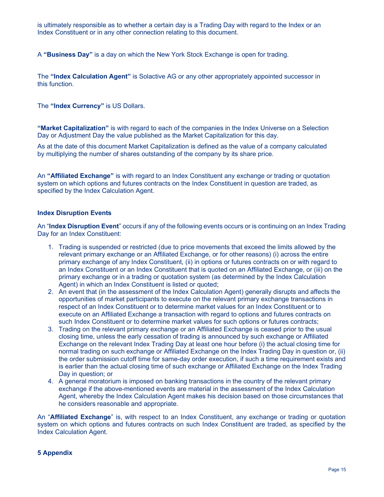is ultimately responsible as to whether a certain day is a Trading Day with regard to the Index or an Index Constituent or in any other connection relating to this document.

A "Business Day" is a day on which the New York Stock Exchange is open for trading.

The "Index Calculation Agent" is Solactive AG or any other appropriately appointed successor in this function.

The "Index Currency" is US Dollars.

"Market Capitalization" is with regard to each of the companies in the Index Universe on a Selection Day or Adjustment Day the value published as the Market Capitalization for this day.

As at the date of this document Market Capitalization is defined as the value of a company calculated by multiplying the number of shares outstanding of the company by its share price.

An "Affiliated Exchange" is with regard to an Index Constituent any exchange or trading or quotation system on which options and futures contracts on the Index Constituent in question are traded, as specified by the Index Calculation Agent.

## Index Disruption Events

An "Index Disruption Event" occurs if any of the following events occurs or is continuing on an Index Trading Day for an Index Constituent:

- 1. Trading is suspended or restricted (due to price movements that exceed the limits allowed by the relevant primary exchange or an Affiliated Exchange, or for other reasons) (i) across the entire primary exchange of any Index Constituent, (ii) in options or futures contracts on or with regard to an Index Constituent or an Index Constituent that is quoted on an Affiliated Exchange, or (iii) on the primary exchange or in a trading or quotation system (as determined by the Index Calculation Agent) in which an Index Constituent is listed or quoted;
- 2. An event that (in the assessment of the Index Calculation Agent) generally disrupts and affects the opportunities of market participants to execute on the relevant primary exchange transactions in respect of an Index Constituent or to determine market values for an Index Constituent or to execute on an Affiliated Exchange a transaction with regard to options and futures contracts on such Index Constituent or to determine market values for such options or futures contracts;
- 3. Trading on the relevant primary exchange or an Affiliated Exchange is ceased prior to the usual closing time, unless the early cessation of trading is announced by such exchange or Affiliated Exchange on the relevant Index Trading Day at least one hour before (i) the actual closing time for normal trading on such exchange or Affiliated Exchange on the Index Trading Day in question or, (ii) the order submission cutoff time for same-day order execution, if such a time requirement exists and is earlier than the actual closing time of such exchange or Affiliated Exchange on the Index Trading Day in question; or
- 4. A general moratorium is imposed on banking transactions in the country of the relevant primary exchange if the above-mentioned events are material in the assessment of the Index Calculation Agent, whereby the Index Calculation Agent makes his decision based on those circumstances that he considers reasonable and appropriate.

An "**Affiliated Exchange**" is, with respect to an Index Constituent, any exchange or trading or quotation system on which options and futures contracts on such Index Constituent are traded, as specified by the Index Calculation Agent.

## 5 Appendix